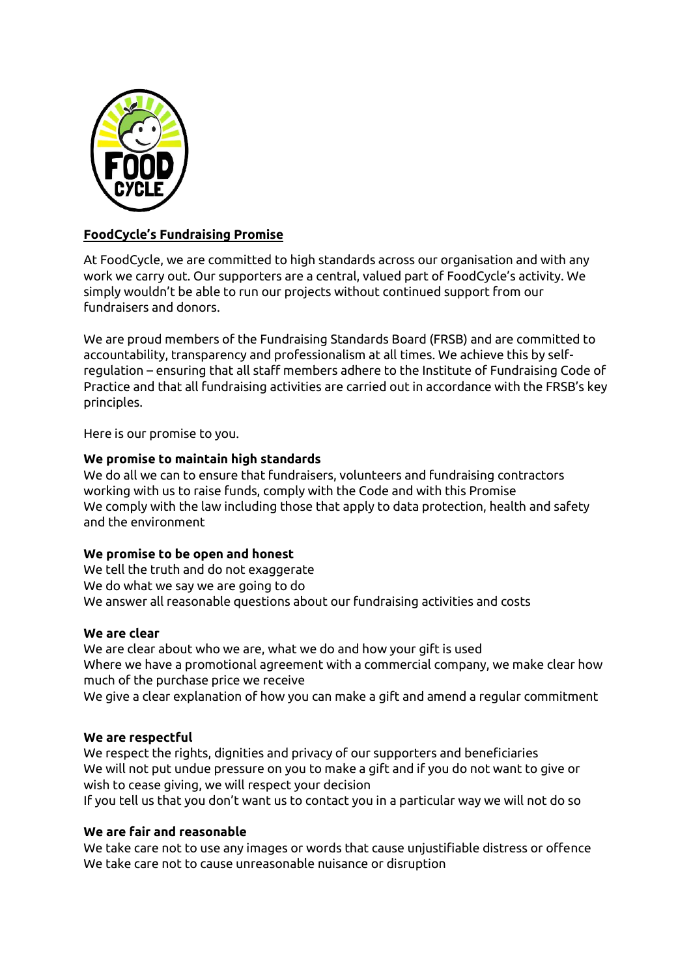

# **FoodCycle's Fundraising Promise**

At FoodCycle, we are committed to high standards across our organisation and with any work we carry out. Our supporters are a central, valued part of FoodCycle's activity. We simply wouldn't be able to run our projects without continued support from our fundraisers and donors.

We are proud members of the Fundraising Standards Board (FRSB) and are committed to accountability, transparency and professionalism at all times. We achieve this by selfregulation – ensuring that all staff members adhere to the Institute of Fundraising Code of Practice and that all fundraising activities are carried out in accordance with the FRSB's key principles.

Here is our promise to you.

### **We promise to maintain high standards**

We do all we can to ensure that fundraisers, volunteers and fundraising contractors working with us to raise funds, comply with the Code and with this Promise We comply with the law including those that apply to data protection, health and safety and the environment

# **We promise to be open and honest**

We tell the truth and do not exaggerate We do what we say we are going to do We answer all reasonable questions about our fundraising activities and costs

#### **We are clear**

We are clear about who we are, what we do and how your gift is used Where we have a promotional agreement with a commercial company, we make clear how much of the purchase price we receive We give a clear explanation of how you can make a gift and amend a regular commitment

#### **We are respectful**

We respect the rights, dignities and privacy of our supporters and beneficiaries We will not put undue pressure on you to make a gift and if you do not want to give or wish to cease giving, we will respect your decision

If you tell us that you don't want us to contact you in a particular way we will not do so

# **We are fair and reasonable**

We take care not to use any images or words that cause unjustifiable distress or offence We take care not to cause unreasonable nuisance or disruption